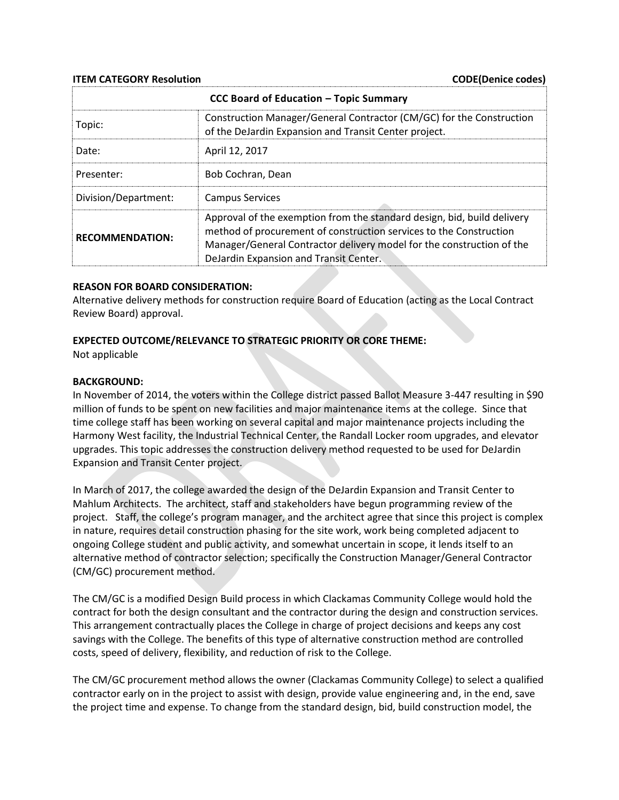**ITEM CATEGORY Resolution** CODE(Denice codes)

| CCC Board of Education - Topic Summary |                                                                                                                                                                                                                                                                  |
|----------------------------------------|------------------------------------------------------------------------------------------------------------------------------------------------------------------------------------------------------------------------------------------------------------------|
| Topic:                                 | Construction Manager/General Contractor (CM/GC) for the Construction<br>of the DeJardin Expansion and Transit Center project.                                                                                                                                    |
| Date:                                  | April 12, 2017                                                                                                                                                                                                                                                   |
| Presenter:                             | Bob Cochran, Dean                                                                                                                                                                                                                                                |
| Division/Department:                   | <b>Campus Services</b>                                                                                                                                                                                                                                           |
| <b>RECOMMENDATION:</b>                 | Approval of the exemption from the standard design, bid, build delivery<br>method of procurement of construction services to the Construction<br>Manager/General Contractor delivery model for the construction of the<br>DeJardin Expansion and Transit Center. |

### **REASON FOR BOARD CONSIDERATION:**

Alternative delivery methods for construction require Board of Education (acting as the Local Contract Review Board) approval.

## **EXPECTED OUTCOME/RELEVANCE TO STRATEGIC PRIORITY OR CORE THEME:**

Not applicable

#### **BACKGROUND:**

In November of 2014, the voters within the College district passed Ballot Measure 3-447 resulting in \$90 million of funds to be spent on new facilities and major maintenance items at the college. Since that time college staff has been working on several capital and major maintenance projects including the Harmony West facility, the Industrial Technical Center, the Randall Locker room upgrades, and elevator upgrades. This topic addresses the construction delivery method requested to be used for DeJardin Expansion and Transit Center project.

In March of 2017, the college awarded the design of the DeJardin Expansion and Transit Center to Mahlum Architects. The architect, staff and stakeholders have begun programming review of the project. Staff, the college's program manager, and the architect agree that since this project is complex in nature, requires detail construction phasing for the site work, work being completed adjacent to ongoing College student and public activity, and somewhat uncertain in scope, it lends itself to an alternative method of contractor selection; specifically the Construction Manager/General Contractor (CM/GC) procurement method.

The CM/GC is a modified Design Build process in which Clackamas Community College would hold the contract for both the design consultant and the contractor during the design and construction services. This arrangement contractually places the College in charge of project decisions and keeps any cost savings with the College. The benefits of this type of alternative construction method are controlled costs, speed of delivery, flexibility, and reduction of risk to the College.

The CM/GC procurement method allows the owner (Clackamas Community College) to select a qualified contractor early on in the project to assist with design, provide value engineering and, in the end, save the project time and expense. To change from the standard design, bid, build construction model, the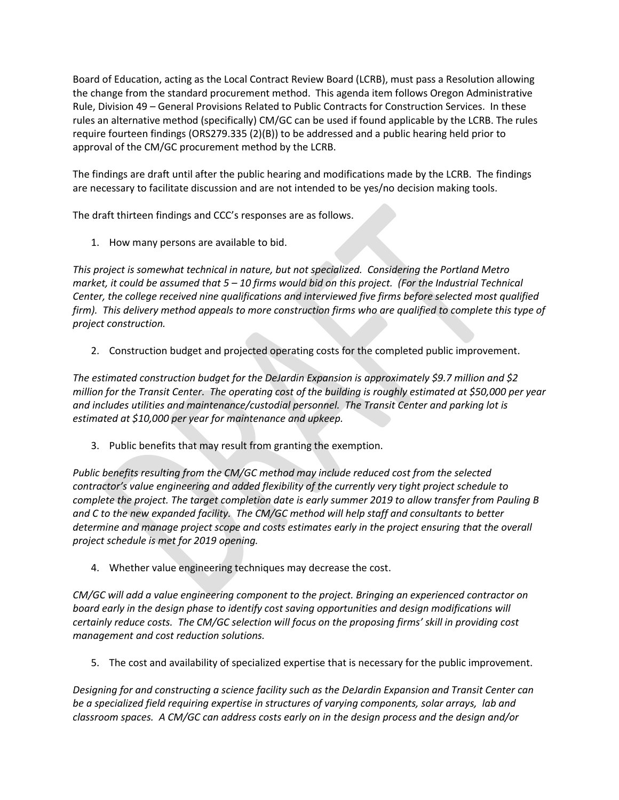Board of Education, acting as the Local Contract Review Board (LCRB), must pass a Resolution allowing the change from the standard procurement method. This agenda item follows Oregon Administrative Rule, Division 49 – General Provisions Related to Public Contracts for Construction Services. In these rules an alternative method (specifically) CM/GC can be used if found applicable by the LCRB. The rules require fourteen findings (ORS279.335 (2)(B)) to be addressed and a public hearing held prior to approval of the CM/GC procurement method by the LCRB.

The findings are draft until after the public hearing and modifications made by the LCRB. The findings are necessary to facilitate discussion and are not intended to be yes/no decision making tools.

The draft thirteen findings and CCC's responses are as follows.

1. How many persons are available to bid.

*This project is somewhat technical in nature, but not specialized. Considering the Portland Metro market, it could be assumed that 5 – 10 firms would bid on this project. (For the Industrial Technical Center, the college received nine qualifications and interviewed five firms before selected most qualified firm). This delivery method appeals to more construction firms who are qualified to complete this type of project construction.*

2. Construction budget and projected operating costs for the completed public improvement.

*The estimated construction budget for the DeJardin Expansion is approximately \$9.7 million and \$2 million for the Transit Center. The operating cost of the building is roughly estimated at \$50,000 per year and includes utilities and maintenance/custodial personnel. The Transit Center and parking lot is estimated at \$10,000 per year for maintenance and upkeep.*

3. Public benefits that may result from granting the exemption.

*Public benefits resulting from the CM/GC method may include reduced cost from the selected contractor's value engineering and added flexibility of the currently very tight project schedule to complete the project. The target completion date is early summer 2019 to allow transfer from Pauling B and C to the new expanded facility. The CM/GC method will help staff and consultants to better determine and manage project scope and costs estimates early in the project ensuring that the overall project schedule is met for 2019 opening.* 

4. Whether value engineering techniques may decrease the cost.

*CM/GC will add a value engineering component to the project. Bringing an experienced contractor on board early in the design phase to identify cost saving opportunities and design modifications will certainly reduce costs. The CM/GC selection will focus on the proposing firms' skill in providing cost management and cost reduction solutions.* 

5. The cost and availability of specialized expertise that is necessary for the public improvement.

*Designing for and constructing a science facility such as the DeJardin Expansion and Transit Center can be a specialized field requiring expertise in structures of varying components, solar arrays, lab and classroom spaces. A CM/GC can address costs early on in the design process and the design and/or*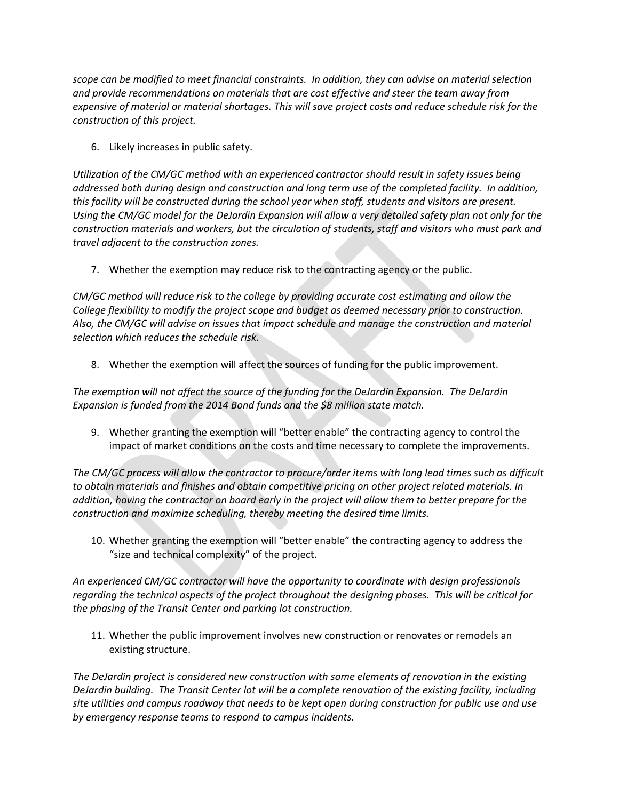*scope can be modified to meet financial constraints. In addition, they can advise on material selection and provide recommendations on materials that are cost effective and steer the team away from expensive of material or material shortages. This will save project costs and reduce schedule risk for the construction of this project.* 

6. Likely increases in public safety.

*Utilization of the CM/GC method with an experienced contractor should result in safety issues being addressed both during design and construction and long term use of the completed facility. In addition, this facility will be constructed during the school year when staff, students and visitors are present. Using the CM/GC model for the DeJardin Expansion will allow a very detailed safety plan not only for the construction materials and workers, but the circulation of students, staff and visitors who must park and travel adjacent to the construction zones.* 

7. Whether the exemption may reduce risk to the contracting agency or the public.

*CM/GC method will reduce risk to the college by providing accurate cost estimating and allow the College flexibility to modify the project scope and budget as deemed necessary prior to construction. Also, the CM/GC will advise on issues that impact schedule and manage the construction and material selection which reduces the schedule risk.* 

8. Whether the exemption will affect the sources of funding for the public improvement.

*The exemption will not affect the source of the funding for the DeJardin Expansion. The DeJardin Expansion is funded from the 2014 Bond funds and the \$8 million state match.* 

9. Whether granting the exemption will "better enable" the contracting agency to control the impact of market conditions on the costs and time necessary to complete the improvements.

*The CM/GC process will allow the contractor to procure/order items with long lead times such as difficult to obtain materials and finishes and obtain competitive pricing on other project related materials. In addition, having the contractor on board early in the project will allow them to better prepare for the construction and maximize scheduling, thereby meeting the desired time limits.* 

10. Whether granting the exemption will "better enable" the contracting agency to address the "size and technical complexity" of the project.

*An experienced CM/GC contractor will have the opportunity to coordinate with design professionals regarding the technical aspects of the project throughout the designing phases. This will be critical for the phasing of the Transit Center and parking lot construction.* 

11. Whether the public improvement involves new construction or renovates or remodels an existing structure.

*The DeJardin project is considered new construction with some elements of renovation in the existing DeJardin building. The Transit Center lot will be a complete renovation of the existing facility, including site utilities and campus roadway that needs to be kept open during construction for public use and use by emergency response teams to respond to campus incidents.*